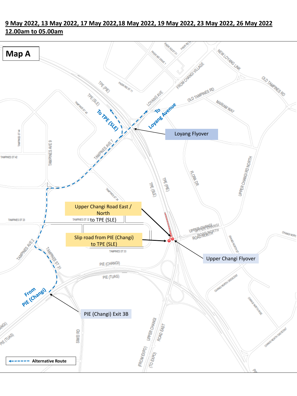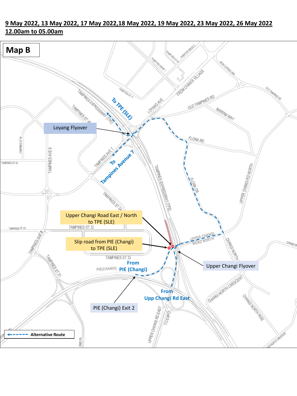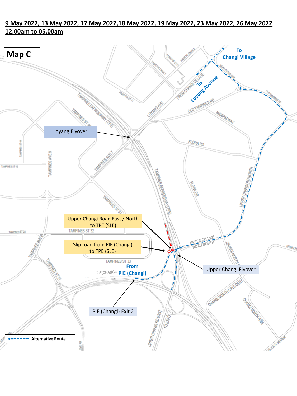